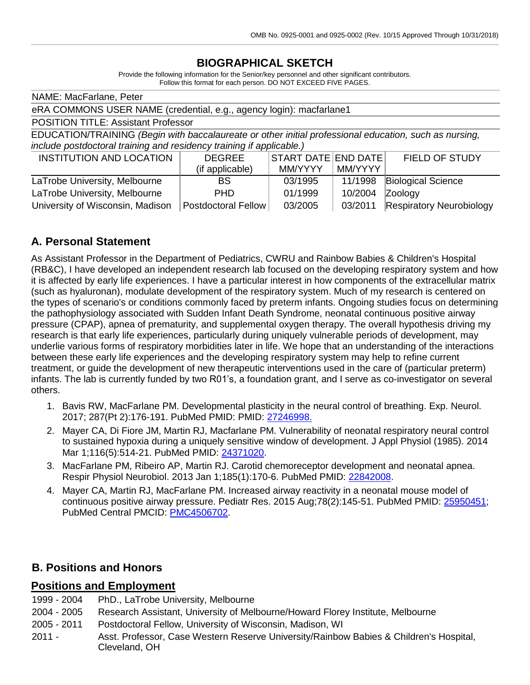# **BIOGRAPHICAL SKETCH**

Provide the following information for the Senior/key personnel and other significant contributors. Follow this format for each person. DO NOT EXCEED FIVE PAGES.

| NAME: MacFarlane, Peter                                                                                |                            |                                                           |         |                                 |
|--------------------------------------------------------------------------------------------------------|----------------------------|-----------------------------------------------------------|---------|---------------------------------|
| eRA COMMONS USER NAME (credential, e.g., agency login): macfarlane1                                    |                            |                                                           |         |                                 |
| <b>POSITION TITLE: Assistant Professor</b>                                                             |                            |                                                           |         |                                 |
| EDUCATION/TRAINING (Begin with baccalaureate or other initial professional education, such as nursing, |                            |                                                           |         |                                 |
| include postdoctoral training and residency training if applicable.)                                   |                            |                                                           |         |                                 |
| INSTITUTION AND LOCATION                                                                               | <b>DEGREE</b>              | $ \textsf{START}\textsf{DATE} \textsf{END}\textsf{DATE} $ |         | <b>FIELD OF STUDY</b>           |
|                                                                                                        | (if applicable)            | MM/YYYY                                                   | MM/YYYY |                                 |
| LaTrobe University, Melbourne                                                                          | <b>BS</b>                  | 03/1995                                                   | 11/1998 | <b>Biological Science</b>       |
| LaTrobe University, Melbourne                                                                          | <b>PHD</b>                 | 01/1999                                                   | 10/2004 | Zoology                         |
| University of Wisconsin, Madison                                                                       | <b>Postdoctoral Fellow</b> | 03/2005                                                   | 03/2011 | <b>Respiratory Neurobiology</b> |

## **A. Personal Statement**

As Assistant Professor in the Department of Pediatrics, CWRU and Rainbow Babies & Children's Hospital (RB&C), I have developed an independent research lab focused on the developing respiratory system and how it is affected by early life experiences. I have a particular interest in how components of the extracellular matrix (such as hyaluronan), modulate development of the respiratory system. Much of my research is centered on the types of scenario's or conditions commonly faced by preterm infants. Ongoing studies focus on determining the pathophysiology associated with Sudden Infant Death Syndrome, neonatal continuous positive airway pressure (CPAP), apnea of prematurity, and supplemental oxygen therapy. The overall hypothesis driving my research is that early life experiences, particularly during uniquely vulnerable periods of development, may underlie various forms of respiratory morbidities later in life. We hope that an understanding of the interactions between these early life experiences and the developing respiratory system may help to refine current treatment, or guide the development of new therapeutic interventions used in the care of (particular preterm) infants. The lab is currently funded by two R01's, a foundation grant, and I serve as co-investigator on several others.

- 1. Bavis RW, MacFarlane PM. Developmental plasticity in the neural control of breathing. Exp. Neurol. 2017; 287(Pt 2):176-191. PubMed PMID: PMID: 27246998.
- 2. Mayer CA, Di Fiore JM, Martin RJ, Macfarlane PM. Vulnerability of neonatal respiratory neural control to sustained hypoxia during a uniquely sensitive window of development. J Appl Physiol (1985). 2014 Mar 1;116(5):514-21. PubMed PMID: [24371020.](http://www.ncbi.nlm.nih.gov/pubmed/24371020/)
- 3. MacFarlane PM, Ribeiro AP, Martin RJ. Carotid chemoreceptor development and neonatal apnea. Respir Physiol Neurobiol. 2013 Jan 1;185(1):170-6. PubMed PMID: [22842008.](http://www.ncbi.nlm.nih.gov/pubmed/22842008/)
- 4. Mayer CA, Martin RJ, MacFarlane PM. Increased airway reactivity in a neonatal mouse model of continuous positive airway pressure. Pediatr Res. 2015 Aug;78(2):145-51. PubMed PMID: [25950451;](http://www.ncbi.nlm.nih.gov/pubmed/25950451/) PubMed Central PMCID: [PMC4506702.](http://www.ncbi.nlm.nih.gov/pmc/articles/PMC4506702/)

#### **B. Positions and Honors**

#### **Positions and Employment**

- 1999 2004 PhD., LaTrobe University, Melbourne
- 2004 2005 Research Assistant, University of Melbourne/Howard Florey Institute, Melbourne
- 2005 2011 Postdoctoral Fellow, University of Wisconsin, Madison, WI
- 2011 Asst. Professor, Case Western Reserve University/Rainbow Babies & Children's Hospital, Cleveland, OH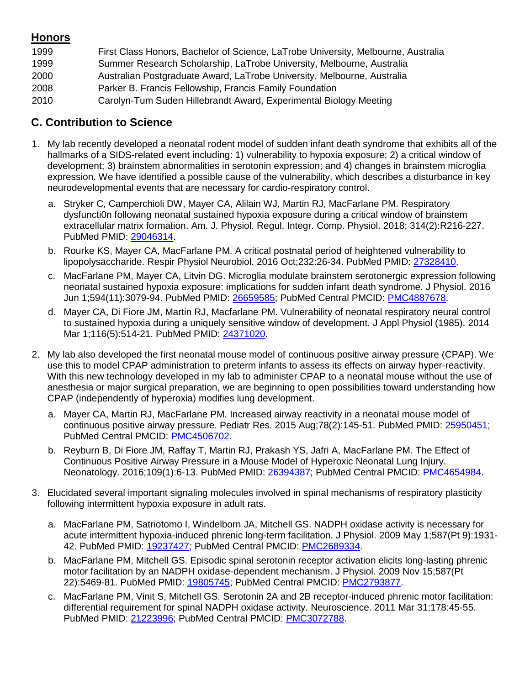## **Honors**

| 1999 | First Class Honors, Bachelor of Science, LaTrobe University, Melbourne, Australia |
|------|-----------------------------------------------------------------------------------|
| 1999 | Summer Research Scholarship, LaTrobe University, Melbourne, Australia             |
| 2000 | Australian Postgraduate Award, LaTrobe University, Melbourne, Australia           |
| 2008 | Parker B. Francis Fellowship, Francis Family Foundation                           |
| 2010 | Carolyn-Tum Suden Hillebrandt Award, Experimental Biology Meeting                 |

## **C. Contribution to Science**

- 1. My lab recently developed a neonatal rodent model of sudden infant death syndrome that exhibits all of the hallmarks of a SIDS-related event including: 1) vulnerability to hypoxia exposure; 2) a critical window of development; 3) brainstem abnormalities in serotonin expression; and 4) changes in brainstem microglia expression. We have identified a possible cause of the vulnerability, which describes a disturbance in key neurodevelopmental events that are necessary for cardio-respiratory control.
	- a. Stryker C, Camperchioli DW, Mayer CA, Alilain WJ, Martin RJ, MacFarlane PM. Respiratory dysfuncti0n following neonatal sustained hypoxia exposure during a critical window of brainstem extracellular matrix formation. Am. J. Physiol. Regul. Integr. Comp. Physiol. 2018; 314(2):R216-227. PubMed PMID: 29046314.
	- b. Rourke KS, Mayer CA, MacFarlane PM. A critical postnatal period of heightened vulnerability to lipopolysaccharide. Respir Physiol Neurobiol. 2016 Oct;232:26-34. PubMed PMID: [27328410.](http://www.ncbi.nlm.nih.gov/pubmed/27328410/)
	- c. MacFarlane PM, Mayer CA, Litvin DG. Microglia modulate brainstem serotonergic expression following neonatal sustained hypoxia exposure: implications for sudden infant death syndrome. J Physiol. 2016 Jun 1;594(11):3079-94. PubMed PMID: [26659585;](http://www.ncbi.nlm.nih.gov/pubmed/26659585/) PubMed Central PMCID: [PMC4887678.](http://www.ncbi.nlm.nih.gov/pmc/articles/PMC4887678/)
	- d. Mayer CA, Di Fiore JM, Martin RJ, Macfarlane PM. Vulnerability of neonatal respiratory neural control to sustained hypoxia during a uniquely sensitive window of development. J Appl Physiol (1985). 2014 Mar 1;116(5):514-21. PubMed PMID: [24371020.](http://www.ncbi.nlm.nih.gov/pubmed/24371020/)
- 2. My lab also developed the first neonatal mouse model of continuous positive airway pressure (CPAP). We use this to model CPAP administration to preterm infants to assess its effects on airway hyper-reactivity. With this new technology developed in my lab to administer CPAP to a neonatal mouse without the use of anesthesia or major surgical preparation, we are beginning to open possibilities toward understanding how CPAP (independently of hyperoxia) modifies lung development.
	- a. Mayer CA, Martin RJ, MacFarlane PM. Increased airway reactivity in a neonatal mouse model of continuous positive airway pressure. Pediatr Res. 2015 Aug;78(2):145-51. PubMed PMID: [25950451;](http://www.ncbi.nlm.nih.gov/pubmed/25950451/) PubMed Central PMCID: [PMC4506702.](http://www.ncbi.nlm.nih.gov/pmc/articles/PMC4506702/)
	- b. Reyburn B, Di Fiore JM, Raffay T, Martin RJ, Prakash YS, Jafri A, MacFarlane PM. The Effect of Continuous Positive Airway Pressure in a Mouse Model of Hyperoxic Neonatal Lung Injury. Neonatology. 2016;109(1):6-13. PubMed PMID: [26394387;](http://www.ncbi.nlm.nih.gov/pubmed/26394387/) PubMed Central PMCID: [PMC4654984.](http://www.ncbi.nlm.nih.gov/pmc/articles/PMC4654984/)
- 3. Elucidated several important signaling molecules involved in spinal mechanisms of respiratory plasticity following intermittent hypoxia exposure in adult rats.
	- a. MacFarlane PM, Satriotomo I, Windelborn JA, Mitchell GS. NADPH oxidase activity is necessary for acute intermittent hypoxia-induced phrenic long-term facilitation. J Physiol. 2009 May 1;587(Pt 9):1931- 42. PubMed PMID: [19237427;](http://www.ncbi.nlm.nih.gov/pubmed/19237427/) PubMed Central PMCID: [PMC2689334.](http://www.ncbi.nlm.nih.gov/pmc/articles/PMC2689334/)
	- b. MacFarlane PM, Mitchell GS. Episodic spinal serotonin receptor activation elicits long-lasting phrenic motor facilitation by an NADPH oxidase-dependent mechanism. J Physiol. 2009 Nov 15;587(Pt 22):5469-81. PubMed PMID: [19805745;](http://www.ncbi.nlm.nih.gov/pubmed/19805745/) PubMed Central PMCID: [PMC2793877.](http://www.ncbi.nlm.nih.gov/pmc/articles/PMC2793877/)
	- c. MacFarlane PM, Vinit S, Mitchell GS. Serotonin 2A and 2B receptor-induced phrenic motor facilitation: differential requirement for spinal NADPH oxidase activity. Neuroscience. 2011 Mar 31;178:45-55. PubMed PMID: [21223996;](http://www.ncbi.nlm.nih.gov/pubmed/21223996/) PubMed Central PMCID: [PMC3072788.](http://www.ncbi.nlm.nih.gov/pmc/articles/PMC3072788/)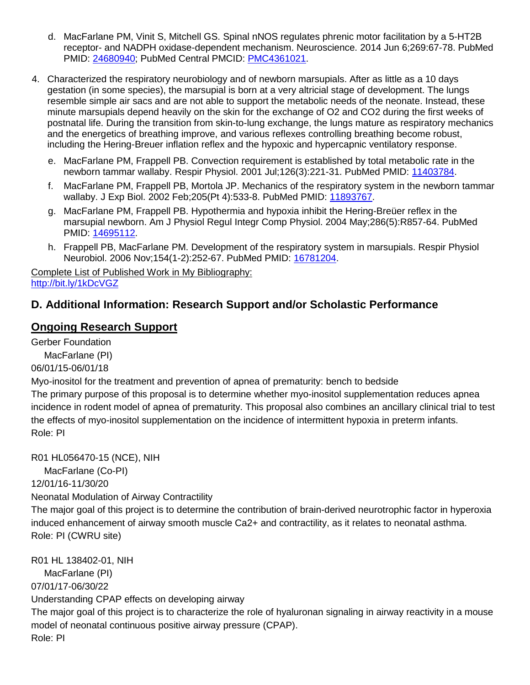- d. MacFarlane PM, Vinit S, Mitchell GS. Spinal nNOS regulates phrenic motor facilitation by a 5-HT2B receptor- and NADPH oxidase-dependent mechanism. Neuroscience. 2014 Jun 6;269:67-78. PubMed PMID: [24680940;](http://www.ncbi.nlm.nih.gov/pubmed/24680940/) PubMed Central PMCID: [PMC4361021.](http://www.ncbi.nlm.nih.gov/pmc/articles/PMC4361021/)
- 4. Characterized the respiratory neurobiology and of newborn marsupials. After as little as a 10 days gestation (in some species), the marsupial is born at a very altricial stage of development. The lungs resemble simple air sacs and are not able to support the metabolic needs of the neonate. Instead, these minute marsupials depend heavily on the skin for the exchange of O2 and CO2 during the first weeks of postnatal life. During the transition from skin-to-lung exchange, the lungs mature as respiratory mechanics and the energetics of breathing improve, and various reflexes controlling breathing become robust, including the Hering-Breuer inflation reflex and the hypoxic and hypercapnic ventilatory response.
	- e. MacFarlane PM, Frappell PB. Convection requirement is established by total metabolic rate in the newborn tammar wallaby. Respir Physiol. 2001 Jul;126(3):221-31. PubMed PMID: [11403784.](http://www.ncbi.nlm.nih.gov/pubmed/11403784/)
	- f. MacFarlane PM, Frappell PB, Mortola JP. Mechanics of the respiratory system in the newborn tammar wallaby. J Exp Biol. 2002 Feb;205(Pt 4):533-8. PubMed PMID: [11893767.](http://www.ncbi.nlm.nih.gov/pubmed/11893767/)
	- g. MacFarlane PM, Frappell PB. Hypothermia and hypoxia inhibit the Hering-Breüer reflex in the marsupial newborn. Am J Physiol Regul Integr Comp Physiol. 2004 May;286(5):R857-64. PubMed PMID: [14695112.](http://www.ncbi.nlm.nih.gov/pubmed/14695112/)
	- h. Frappell PB, MacFarlane PM. Development of the respiratory system in marsupials. Respir Physiol Neurobiol. 2006 Nov;154(1-2):252-67. PubMed PMID: [16781204.](http://www.ncbi.nlm.nih.gov/pubmed/16781204/)

Complete List of Published Work in My Bibliography: <http://bit.ly/1kDcVGZ>

# **D. Additional Information: Research Support and/or Scholastic Performance**

## **Ongoing Research Support**

Gerber Foundation

MacFarlane (PI)

06/01/15-06/01/18

Myo-inositol for the treatment and prevention of apnea of prematurity: bench to bedside

The primary purpose of this proposal is to determine whether myo-inositol supplementation reduces apnea incidence in rodent model of apnea of prematurity. This proposal also combines an ancillary clinical trial to test the effects of myo-inositol supplementation on the incidence of intermittent hypoxia in preterm infants. Role: PI

R01 HL056470-15 (NCE), NIH

MacFarlane (Co-PI)

12/01/16-11/30/20

Neonatal Modulation of Airway Contractility

The major goal of this project is to determine the contribution of brain-derived neurotrophic factor in hyperoxia induced enhancement of airway smooth muscle Ca2+ and contractility, as it relates to neonatal asthma. Role: PI (CWRU site)

R01 HL 138402-01, NIH MacFarlane (PI) 07/01/17-06/30/22 Understanding CPAP effects on developing airway The major goal of this project is to characterize the role of hyaluronan signaling in airway reactivity in a mouse model of neonatal continuous positive airway pressure (CPAP).

Role: PI